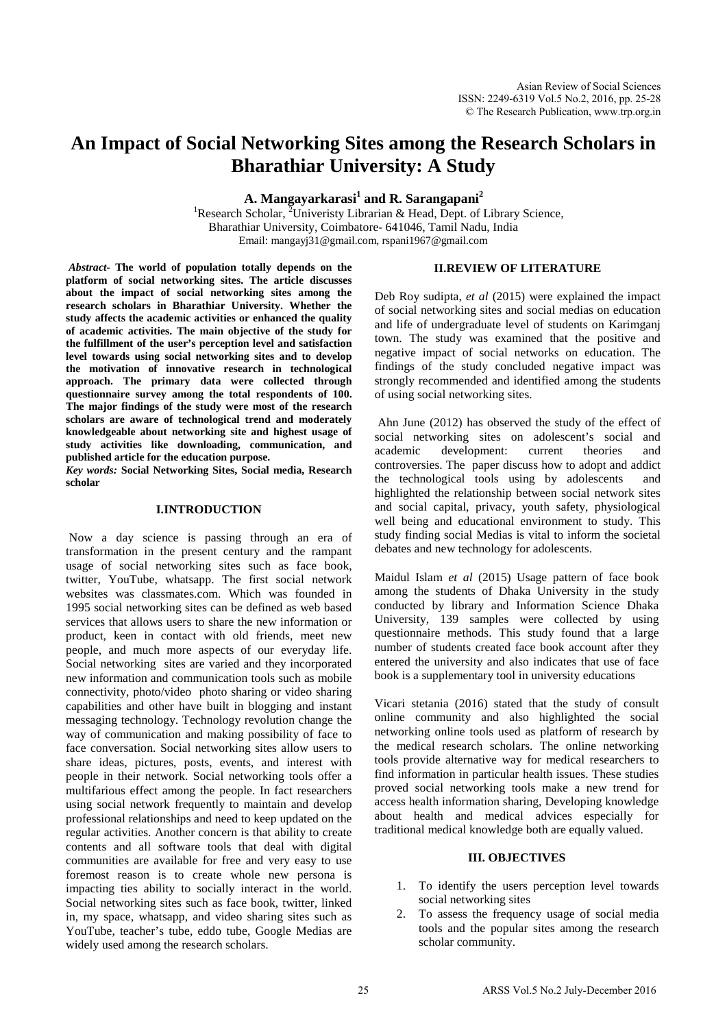# **An Impact of Social Networking Sites among the Research Scholars in Bharathiar University: A Study**

**A. Mangayarkarasi<sup>1</sup> and R. Sarangapani<sup>2</sup>**

<sup>1</sup>Research Scholar, <sup>2</sup>Univeristy Librarian & Head, Dept. of Library Science, Bharathiar University, Coimbatore- 641046, Tamil Nadu, India Email: [mangayj31@gmail.com,](mailto:mangayj31@gmail.com) rspani1967@gmail.com

*Abstract-* **The world of population totally depends on the platform of social networking sites. The article discusses about the impact of social networking sites among the research scholars in Bharathiar University. Whether the study affects the academic activities or enhanced the quality of academic activities. The main objective of the study for the fulfillment of the user's perception level and satisfaction level towards using social networking sites and to develop the motivation of innovative research in technological approach. The primary data were collected through questionnaire survey among the total respondents of 100. The major findings of the study were most of the research scholars are aware of technological trend and moderately knowledgeable about networking site and highest usage of study activities like downloading, communication, and published article for the education purpose.** 

*Key words:* **Social Networking Sites, Social media, Research scholar**

#### **I.INTRODUCTION**

Now a day science is passing through an era of transformation in the present century and the rampant usage of social networking sites such as face book, twitter, YouTube, whatsapp. The first social network websites was classmates.com. Which was founded in 1995 social networking sites can be defined as web based services that allows users to share the new information or product, keen in contact with old friends, meet new people, and much more aspects of our everyday life. Social networking sites are varied and they incorporated new information and communication tools such as mobile connectivity, photo/video photo sharing or video sharing capabilities and other have built in blogging and instant messaging technology. Technology revolution change the way of communication and making possibility of face to face conversation. Social networking sites allow users to share ideas, pictures, posts, events, and interest with people in their network. Social networking tools offer a multifarious effect among the people. In fact researchers using social network frequently to maintain and develop professional relationships and need to keep updated on the regular activities. Another concern is that ability to create contents and all software tools that deal with digital communities are available for free and very easy to use foremost reason is to create whole new persona is impacting ties ability to socially interact in the world. Social networking sites such as face book, twitter, linked in, my space, whatsapp, and video sharing sites such as YouTube, teacher's tube, eddo tube, Google Medias are widely used among the research scholars.

# **II.REVIEW OF LITERATURE**

Deb Roy sudipta, *et al* (2015) were explained the impact of social networking sites and social medias on education and life of undergraduate level of students on Karimganj town. The study was examined that the positive and negative impact of social networks on education. The findings of the study concluded negative impact was strongly recommended and identified among the students of using social networking sites.

Ahn June (2012) has observed the study of the effect of social networking sites on adolescent's social and academic development: current theories and controversies. The paper discuss how to adopt and addict the technological tools using by adolescents and highlighted the relationship between social network sites and social capital, privacy, youth safety, physiological well being and educational environment to study. This study finding social Medias is vital to inform the societal debates and new technology for adolescents.

Maidul Islam *et al* (2015) Usage pattern of face book among the students of Dhaka University in the study conducted by library and Information Science Dhaka University, 139 samples were collected by using questionnaire methods. This study found that a large number of students created face book account after they entered the university and also indicates that use of face book is a supplementary tool in university educations

Vicari stetania (2016) stated that the study of consult online community and also highlighted the social networking online tools used as platform of research by the medical research scholars. The online networking tools provide alternative way for medical researchers to find information in particular health issues. These studies proved social networking tools make a new trend for access health information sharing, Developing knowledge about health and medical advices especially for traditional medical knowledge both are equally valued.

#### **III. OBJECTIVES**

- 1. To identify the users perception level towards social networking sites
- 2. To assess the frequency usage of social media tools and the popular sites among the research scholar community.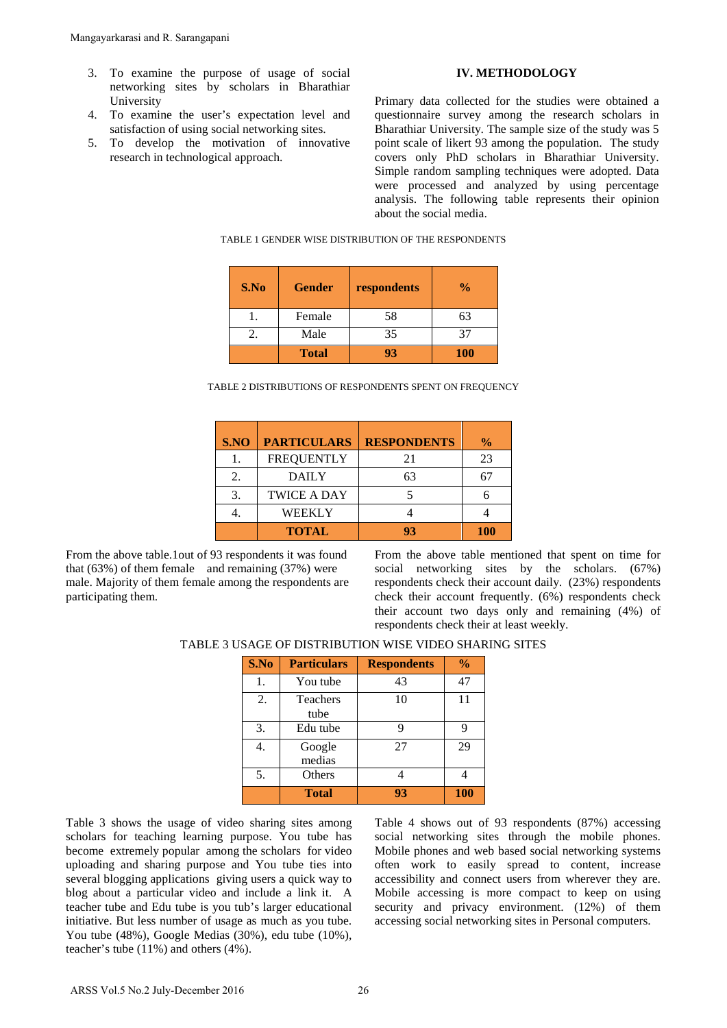- 3. To examine the purpose of usage of social networking sites by scholars in Bharathiar University
- 4. To examine the user's expectation level and satisfaction of using social networking sites.
- 5. To develop the motivation of innovative research in technological approach.

#### **IV. METHODOLOGY**

Primary data collected for the studies were obtained a questionnaire survey among the research scholars in Bharathiar University. The sample size of the study was 5 point scale of likert 93 among the population. The study covers only PhD scholars in Bharathiar University. Simple random sampling techniques were adopted. Data were processed and analyzed by using percentage analysis. The following table represents their opinion about the social media.

| S.No | <b>Gender</b> | respondents | $\frac{0}{0}$ |
|------|---------------|-------------|---------------|
|      | Female        | 58          | 63            |
| 2.   | Male          | 35          | 37            |
|      | <b>Total</b>  | 93          | <b>100</b>    |

TABLE 1 GENDER WISE DISTRIBUTION OF THE RESPONDENTS

| TABLE 2 DISTRIBUTIONS OF RESPONDENTS SPENT ON FREQUENCY |  |  |
|---------------------------------------------------------|--|--|
|---------------------------------------------------------|--|--|

| S.NO | <b>PARTICULARS</b> | <b>RESPONDENTS</b> | $\%$       |
|------|--------------------|--------------------|------------|
|      | <b>FREQUENTLY</b>  | 21                 | 23         |
| 2.   | <b>DAILY</b>       | 63                 | 67         |
|      | <b>TWICE A DAY</b> |                    |            |
|      | WEEKLY             |                    |            |
|      | <b>TOTAL</b>       | 93                 | <b>100</b> |

From the above table.1out of 93 respondents it was found that  $(63\%)$  of them female and remaining  $(37\%)$  were male. Majority of them female among the respondents are participating them.

From the above table mentioned that spent on time for social networking sites by the scholars. (67%) respondents check their account daily. (23%) respondents check their account frequently. (6%) respondents check their account two days only and remaining (4%) of respondents check their at least weekly.

|  | TABLE 3 USAGE OF DISTRIBUTION WISE VIDEO SHARING SITES |  |  |
|--|--------------------------------------------------------|--|--|
|--|--------------------------------------------------------|--|--|

| S.No | <b>Particulars</b>      | <b>Respondents</b> | $\frac{0}{0}$ |
|------|-------------------------|--------------------|---------------|
| 1.   | You tube                | 43                 | 47            |
| 2.   | <b>Teachers</b><br>tube | 10                 | 11            |
| 3.   | Edu tube                |                    | 9             |
| 4.   | Google<br>medias        | 27                 | 29            |
| 5.   | Others                  |                    |               |
|      | <b>Total</b>            | 93                 | 100           |

Table 3 shows the usage of video sharing sites among scholars for teaching learning purpose. You tube has become extremely popular among the scholars for video uploading and sharing purpose and You tube ties into several blogging applications giving users a quick way to blog about a particular video and include a link it. A teacher tube and Edu tube is you tub's larger educational initiative. But less number of usage as much as you tube. You tube (48%), Google Medias (30%), edu tube (10%), teacher's tube (11%) and others (4%). Mangayarkarasi and R. Sarangapani<br>
3. To examine the purpose of usage of social<br>
1. To examine the user's expectation level and<br>
4. To examine the user's expectation level and<br>
5. To develop the motivation of innovative<br>

Table 4 shows out of 93 respondents (87%) accessing social networking sites through the mobile phones. Mobile phones and web based social networking systems often work to easily spread to content, increase accessibility and connect users from wherever they are. Mobile accessing is more compact to keep on using security and privacy environment. (12%) of them accessing social networking sites in Personal computers.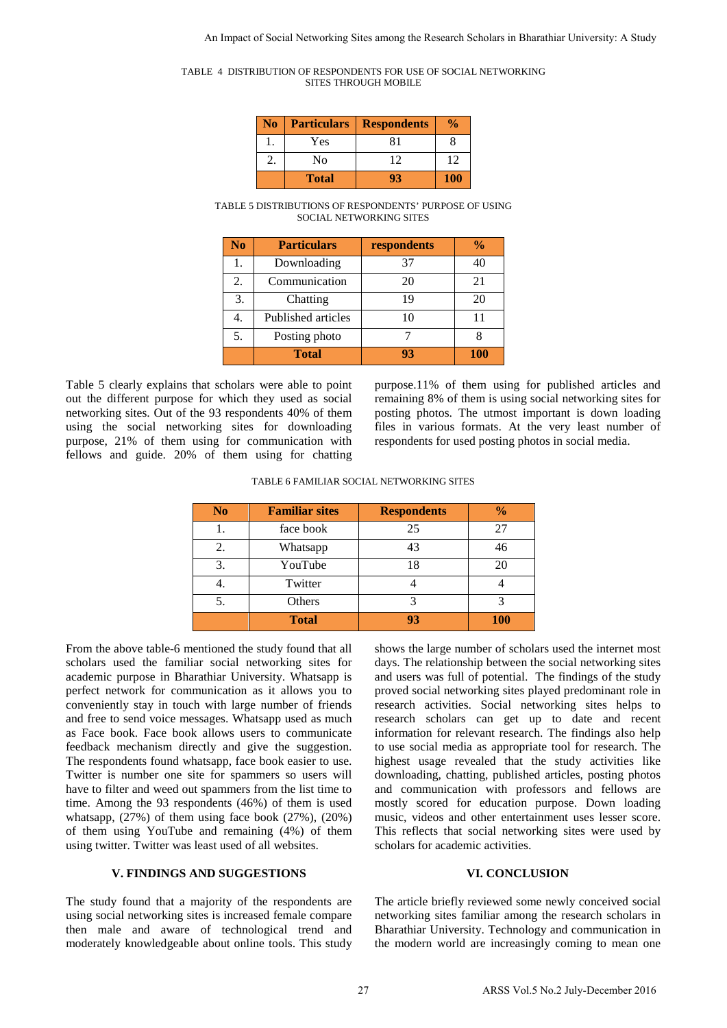| TABLE 4 DISTRIBUTION OF RESPONDENTS FOR USE OF SOCIAL NETWORKING |  |
|------------------------------------------------------------------|--|
| SITES THROUGH MOBILE                                             |  |

| No | <b>Particulars</b> | <b>Respondents</b> | $\frac{6}{10}$ |
|----|--------------------|--------------------|----------------|
|    | Yes                | 81                 |                |
|    | No                 | 12                 | 12             |
|    | <b>Total</b>       |                    | <b>100</b>     |

TABLE 5 DISTRIBUTIONS OF RESPONDENTS' PURPOSE OF USING SOCIAL NETWORKING SITES

| N <sub>0</sub> | <b>Particulars</b> | respondents | $\frac{0}{0}$ |
|----------------|--------------------|-------------|---------------|
| 1.             | Downloading        | 37          | 40            |
| 2.             | Communication      | 20          | 21            |
| 3.             | Chatting           | 19          | 20            |
| 4.             | Published articles | 10          | 11            |
| 5.             | Posting photo      |             |               |
|                | <b>Total</b>       | 93          | <b>100</b>    |

Table 5 clearly explains that scholars were able to point out the different purpose for which they used as social networking sites. Out of the 93 respondents 40% of them using the social networking sites for downloading purpose, 21% of them using for communication with fellows and guide. 20% of them using for chatting purpose.11% of them using for published articles and remaining 8% of them is using social networking sites for posting photos. The utmost important is down loading files in various formats. At the very least number of respondents for used posting photos in social media.

|  | TABLE 6 FAMILIAR SOCIAL NETWORKING SITES |
|--|------------------------------------------|
|--|------------------------------------------|

| N <sub>0</sub> | <b>Familiar sites</b> | <b>Respondents</b> | $\frac{0}{0}$ |
|----------------|-----------------------|--------------------|---------------|
| Ī.             | face book             | 25                 | 27            |
| 2.             | Whatsapp              | 43                 | 46            |
| 3.             | YouTube               | 18                 |               |
| 4.             | Twitter               |                    |               |
| 5.             | Others                | 3                  |               |
|                | <b>Total</b>          | 93                 | <b>100</b>    |

From the above table-6 mentioned the study found that all scholars used the familiar social networking sites for academic purpose in Bharathiar University. Whatsapp is perfect network for communication as it allows you to conveniently stay in touch with large number of friends and free to send voice messages. Whatsapp used as much as Face book. Face book allows users to communicate feedback mechanism directly and give the suggestion. The respondents found whatsapp, face book easier to use. Twitter is number one site for spammers so users will have to filter and weed out spammers from the list time to time. Among the 93 respondents (46%) of them is used whatsapp, (27%) of them using face book (27%), (20%) of them using YouTube and remaining (4%) of them using twitter. Twitter was least used of all websites.

## **V. FINDINGS AND SUGGESTIONS**

The study found that a majority of the respondents are using social networking sites is increased female compare then male and aware of technological trend and moderately knowledgeable about online tools. This study

shows the large number of scholars used the internet most days. The relationship between the social networking sites and users was full of potential. The findings of the study proved social networking sites played predominant role in research activities. Social networking sites helps to research scholars can get up to date and recent information for relevant research. The findings also help to use social media as appropriate tool for research. The highest usage revealed that the study activities like downloading, chatting, published articles, posting photos and communication with professors and fellows are mostly scored for education purpose. Down loading music, videos and other entertainment uses lesser score. This reflects that social networking sites were used by scholars for academic activities. AR EXPERIMENTARY CONSULTATION (FOR ARTHUNA CONSULTATION) (FOR ARTHUNA CONSULTATION) (FOR A IMPACT OF A IMPACT OF A IMPACT OF A IMPACT OF A IMPACT OF A IMPACT OF A IMPACT OF A IMPACT OF A IMPACT OF A IMPACT OF A IMPACT OF

### **VI. CONCLUSION**

The article briefly reviewed some newly conceived social networking sites familiar among the research scholars in Bharathiar University. Technology and communication in the modern world are increasingly coming to mean one